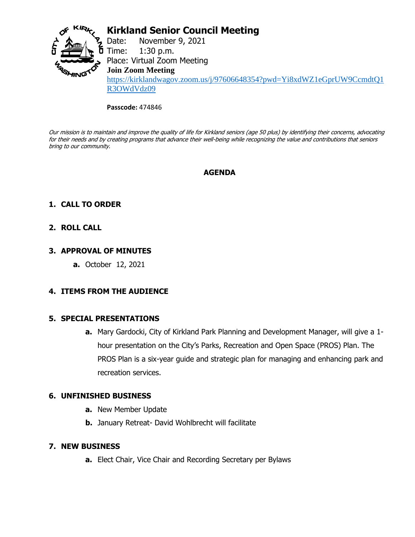

# **Kirkland Senior Council Meeting**

Date: November 9, 2021 **5** Time:  $1:30$  p.m. Place: Virtual Zoom Meeting **Join Zoom Meeting** [https://kirklandwagov.zoom.us/j/97606648354?pwd=Yi8xdWZ1eGprUW9CcmdtQ1](https://kirklandwagov.zoom.us/j/97606648354?pwd=Yi8xdWZ1eGprUW9CcmdtQ1R3OWdVdz09) [R3OWdVdz09](https://kirklandwagov.zoom.us/j/97606648354?pwd=Yi8xdWZ1eGprUW9CcmdtQ1R3OWdVdz09)

#### **Passcode:** 474846

Our mission is to maintain and improve the quality of life for Kirkland seniors (age 50 plus) by identifying their concerns, advocating for their needs and by creating programs that advance their well-being while recognizing the value and contributions that seniors bring to our community.

# **AGENDA**

# **1. CALL TO ORDER**

## **2. ROLL CALL**

## **3. APPROVAL OF MINUTES**

**a.** October 12, 2021

# **4. ITEMS FROM THE AUDIENCE**

### **5. SPECIAL PRESENTATIONS**

**a.** Mary Gardocki, City of Kirkland Park Planning and Development Manager, will give a 1 hour presentation on the City's Parks, Recreation and Open Space (PROS) Plan. The PROS Plan is a six-year guide and strategic plan for managing and enhancing park and recreation services.

### **6. UNFINISHED BUSINESS**

- **a.** New Member Update
- **b.** January Retreat- David Wohlbrecht will facilitate

### **7. NEW BUSINESS**

**a.** Elect Chair, Vice Chair and Recording Secretary per Bylaws